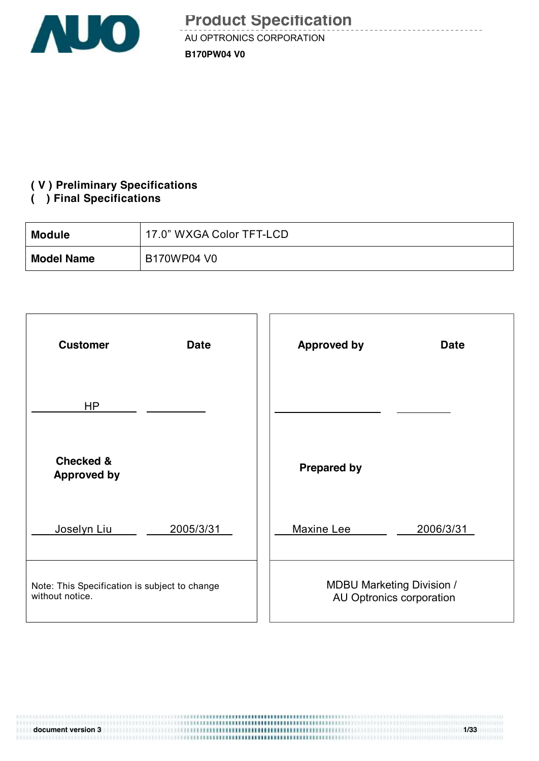

<u>de de de de de</u>

#### **( V ) Preliminary Specifications**

#### **( ) Final Specifications**

| Module            | 17.0" WXGA Color TFT-LCD |
|-------------------|--------------------------|
| <b>Model Name</b> | B170WP04 V0              |

| <b>Customer</b>                               | <b>Approved by</b>               |
|-----------------------------------------------|----------------------------------|
| <b>Date</b>                                   | <b>Date</b>                      |
| HP                                            |                                  |
| <b>Checked &amp;</b><br><b>Approved by</b>    | <b>Prepared by</b>               |
| Joselyn Liu                                   | Maxine Lee                       |
| 2005/3/31                                     | 2006/3/31                        |
| Note: This Specification is subject to change | <b>MDBU Marketing Division /</b> |
| without notice.                               | AU Optronics corporation         |

| document version 3 | 1/33 |
|--------------------|------|
|                    |      |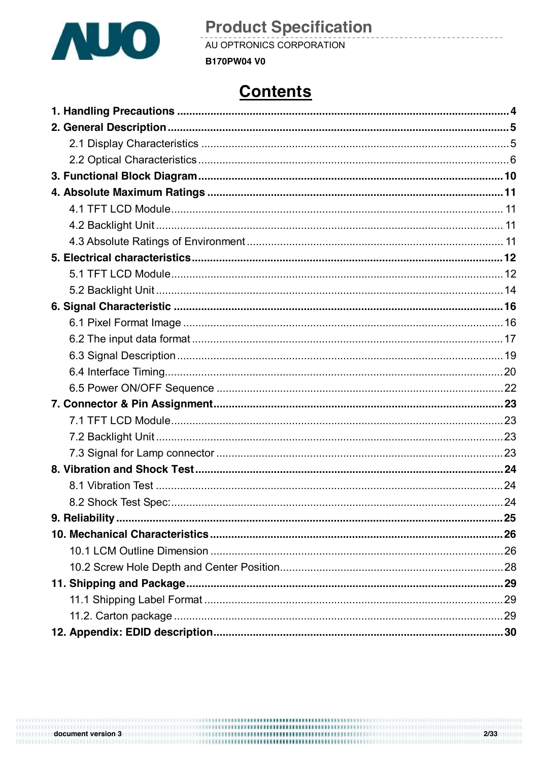

AU OPTRONICS CORPORATION

#### **B170PW04 V0**

## **Contents**

<u> - - - - - - - - -</u>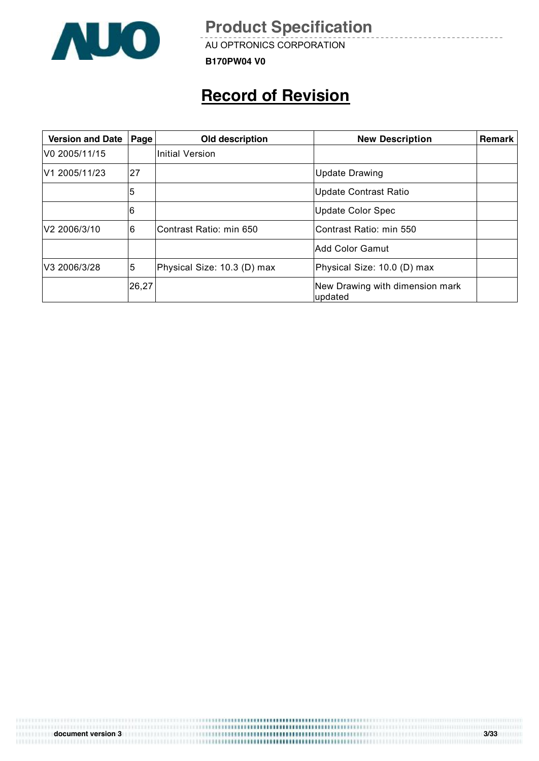

AU OPTRONICS CORPORATION

**B170PW04 V0**

## **Record of Revision**

| <b>Version and Date</b> | Page  | Old description             | <b>New Description</b>                     | Remark |
|-------------------------|-------|-----------------------------|--------------------------------------------|--------|
| V0 2005/11/15           |       | <b>Initial Version</b>      |                                            |        |
| V1 2005/11/23           | 27    |                             | <b>Update Drawing</b>                      |        |
|                         | 5     |                             | <b>Update Contrast Ratio</b>               |        |
|                         | 6     |                             | <b>Update Color Spec</b>                   |        |
| V2 2006/3/10            | 6     | Contrast Ratio: min 650     | Contrast Ratio: min 550                    |        |
|                         |       |                             | Add Color Gamut                            |        |
| V3 2006/3/28            | 5     | Physical Size: 10.3 (D) max | Physical Size: 10.0 (D) max                |        |
|                         | 26,27 |                             | New Drawing with dimension mark<br>updated |        |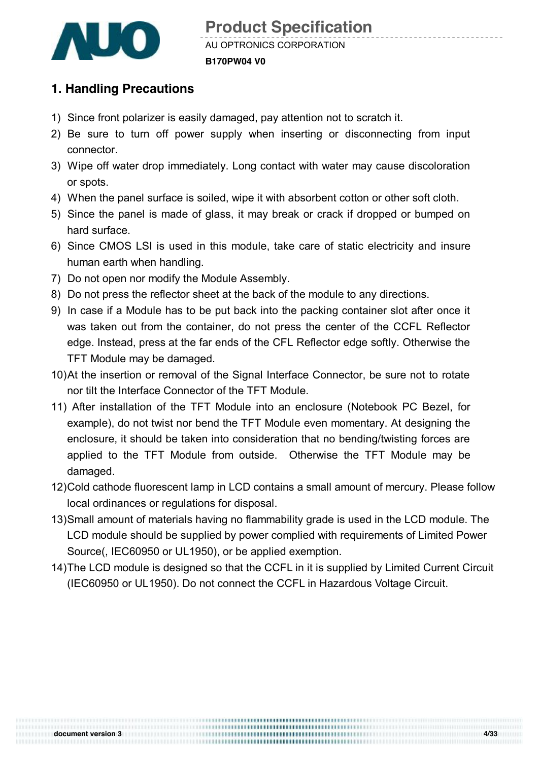

### **1. Handling Precautions**

- 1) Since front polarizer is easily damaged, pay attention not to scratch it.
- 2) Be sure to turn off power supply when inserting or disconnecting from input connector.
- 3) Wipe off water drop immediately. Long contact with water may cause discoloration or spots.
- 4) When the panel surface is soiled, wipe it with absorbent cotton or other soft cloth.
- 5) Since the panel is made of glass, it may break or crack if dropped or bumped on hard surface.
- 6) Since CMOS LSI is used in this module, take care of static electricity and insure human earth when handling.
- 7) Do not open nor modify the Module Assembly.
- 8) Do not press the reflector sheet at the back of the module to any directions.
- 9) In case if a Module has to be put back into the packing container slot after once it was taken out from the container, do not press the center of the CCFL Reflector edge. Instead, press at the far ends of the CFL Reflector edge softly. Otherwise the TFT Module may be damaged.
- 10)At the insertion or removal of the Signal Interface Connector, be sure not to rotate nor tilt the Interface Connector of the TFT Module.
- 11) After installation of the TFT Module into an enclosure (Notebook PC Bezel, for example), do not twist nor bend the TFT Module even momentary. At designing the enclosure, it should be taken into consideration that no bending/twisting forces are applied to the TFT Module from outside. Otherwise the TFT Module may be damaged.
- 12)Cold cathode fluorescent lamp in LCD contains a small amount of mercury. Please follow local ordinances or regulations for disposal.
- 13)Small amount of materials having no flammability grade is used in the LCD module. The LCD module should be supplied by power complied with requirements of Limited Power Source(, IEC60950 or UL1950), or be applied exemption.
- 14)The LCD module is designed so that the CCFL in it is supplied by Limited Current Circuit (IEC60950 or UL1950). Do not connect the CCFL in Hazardous Voltage Circuit.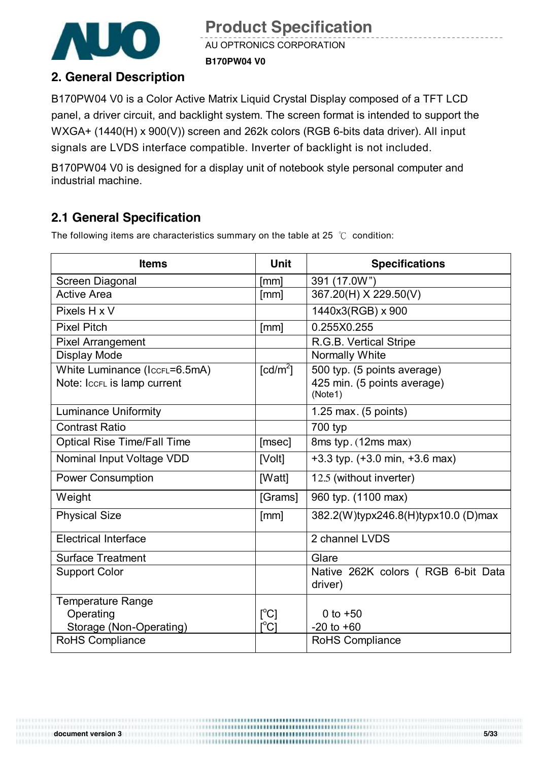

AU OPTRONICS CORPORATION **B170PW04 V0**

### **2. General Description**

B170PW04 V0 is a Color Active Matrix Liquid Crystal Display composed of a TFT LCD panel, a driver circuit, and backlight system. The screen format is intended to support the WXGA+ (1440(H) x 900(V)) screen and 262k colors (RGB 6-bits data driver). All input signals are LVDS interface compatible. Inverter of backlight is not included.

B170PW04 V0 is designed for a display unit of notebook style personal computer and industrial machine.

### **2.1 General Specification**

The following items are characteristics summary on the table at 25 ℃ condition:

| <b>Items</b>                                                 | <b>Unit</b>                   | <b>Specifications</b>                                                 |
|--------------------------------------------------------------|-------------------------------|-----------------------------------------------------------------------|
| Screen Diagonal                                              | [mm]                          | 391 (17.0W")                                                          |
| <b>Active Area</b>                                           | [mm]                          | 367.20(H) X 229.50(V)                                                 |
| Pixels H x V                                                 |                               | 1440x3(RGB) x 900                                                     |
| <b>Pixel Pitch</b>                                           | [mm]                          | 0.255X0.255                                                           |
| <b>Pixel Arrangement</b>                                     |                               | R.G.B. Vertical Stripe                                                |
| <b>Display Mode</b>                                          |                               | Normally White                                                        |
| White Luminance (IccFL=6.5mA)<br>Note: IccFL is lamp current | $\lceil cd/m^2 \rceil$        | 500 typ. (5 points average)<br>425 min. (5 points average)<br>(Note1) |
| <b>Luminance Uniformity</b>                                  |                               | 1.25 max. (5 points)                                                  |
| <b>Contrast Ratio</b>                                        |                               | 700 typ                                                               |
| <b>Optical Rise Time/Fall Time</b>                           | [msec]                        | 8ms typ. (12ms max)                                                   |
| Nominal Input Voltage VDD                                    | [Volt]                        | $+3.3$ typ. $(+3.0 \text{ min}, +3.6 \text{ max})$                    |
| <b>Power Consumption</b>                                     | [Watt]                        | 12.5 (without inverter)                                               |
| Weight                                                       | [Grams]                       | 960 typ. (1100 max)                                                   |
| <b>Physical Size</b>                                         | [mm]                          | 382.2(W)typx246.8(H)typx10.0 (D)max                                   |
| <b>Electrical Interface</b>                                  |                               | 2 channel LVDS                                                        |
| <b>Surface Treatment</b>                                     |                               | Glare                                                                 |
| <b>Support Color</b>                                         |                               | Native 262K colors (RGB 6-bit Data<br>driver)                         |
| <b>Temperature Range</b><br>Operating                        | $\lceil{^{\circ}C}\rceil$     | 0 to $+50$                                                            |
| Storage (Non-Operating)                                      | $\mathsf{I}^\circ\mathsf{C}1$ | $-20$ to $+60$                                                        |
| RoHS Compliance                                              |                               | RoHS Compliance                                                       |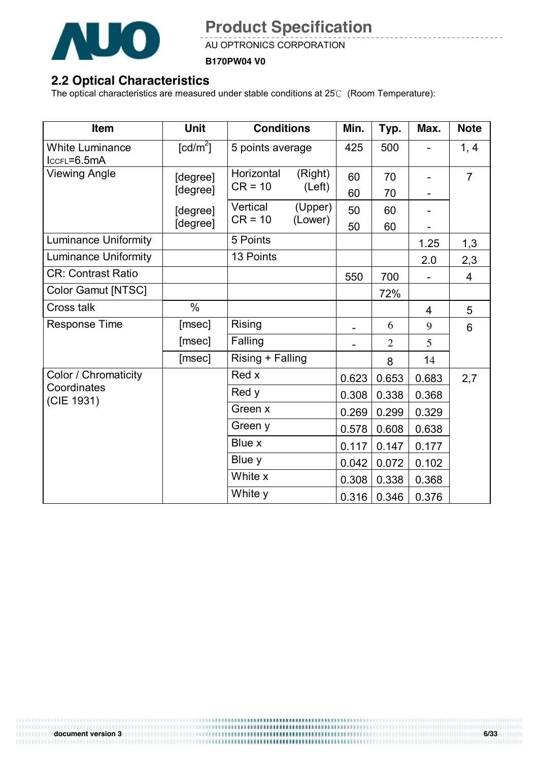

AU OPTRONICS CORPORATION

**B170PW04 V0**

### **2.2 Optical Characteristics**

The optical characteristics are measured under stable conditions at 25℃ (Room Temperature):

| Item                                  | Unit                   | <b>Conditions</b> |                  | Min.  | Typ.           | Max.  | <b>Note</b>    |
|---------------------------------------|------------------------|-------------------|------------------|-------|----------------|-------|----------------|
| <b>White Luminance</b><br>IccFL=6.5mA | $\lceil cd/m^2 \rceil$ |                   | 5 points average |       | 500            |       | 1, 4           |
| <b>Viewing Angle</b>                  | [degree]               | Horizontal        | (Right)          | 60    | 70             |       | $\overline{7}$ |
|                                       | [degree]               | $CR = 10$         | (Left)           | 60    | 70             |       |                |
|                                       | [degree]               | Vertical          | (Upper)          | 50    | 60             |       |                |
|                                       | [degree]               | $CR = 10$         | (Lower)          | 50    | 60             |       |                |
| <b>Luminance Uniformity</b>           |                        | 5 Points          |                  |       |                | 1.25  | 1,3            |
| <b>Luminance Uniformity</b>           |                        | 13 Points         |                  |       |                | 2.0   | 2,3            |
| <b>CR: Contrast Ratio</b>             |                        |                   |                  | 550   | 700            |       | $\overline{4}$ |
| Color Gamut [NTSC]                    |                        |                   |                  |       | 72%            |       |                |
| Cross talk                            | $\frac{0}{0}$          |                   |                  |       |                | 4     | 5              |
| <b>Response Time</b>                  | [msec]                 | Rising            |                  |       | 6              | 9     | 6              |
|                                       | [msec]                 | Falling           |                  |       | $\overline{2}$ | 5     |                |
|                                       | [msec]                 | Rising + Falling  |                  |       | 8              | 14    |                |
| Color / Chromaticity                  |                        | Red x             |                  | 0.623 | 0.653          | 0.683 | 2,7            |
| Coordinates<br>(CIE 1931)             |                        | Red y             |                  | 0.308 | 0.338          | 0.368 |                |
|                                       |                        | Green x           |                  | 0.269 | 0.299          | 0.329 |                |
|                                       |                        | Green y           |                  | 0.578 | 0.608          | 0.638 |                |
|                                       |                        | Blue x            |                  | 0.117 | 0.147          | 0.177 |                |
|                                       |                        | Blue y            |                  | 0.042 | 0.072          | 0.102 |                |
|                                       |                        | White x           |                  | 0.308 | 0.338          | 0.368 |                |
|                                       |                        | White y           |                  | 0.316 | 0.346          | 0.376 |                |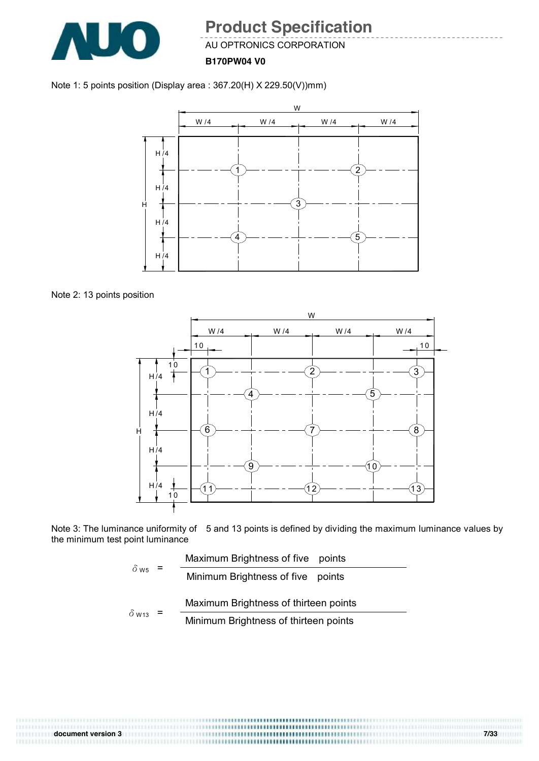

AU OPTRONICS CORPORATION

**B170PW04 V0**





Note 2: 13 points position



Note 3: The luminance uniformity of 5 and 13 points is defined by dividing the maximum luminance values by the minimum test point luminance

$$
\delta_{\text{W5}} = \frac{\text{Maximum brightness of five points}}{\text{Minimum brightness of five points}}
$$
\n
$$
\delta_{\text{W13}} = \frac{\text{Maximum brightness of thirteen points}}{\text{Minimum brightness of thirteen points}}
$$

,,,,,,,,,,,,,,,,,,,,,,,,,,,,,,,,,,,,, **document version 3 7/33**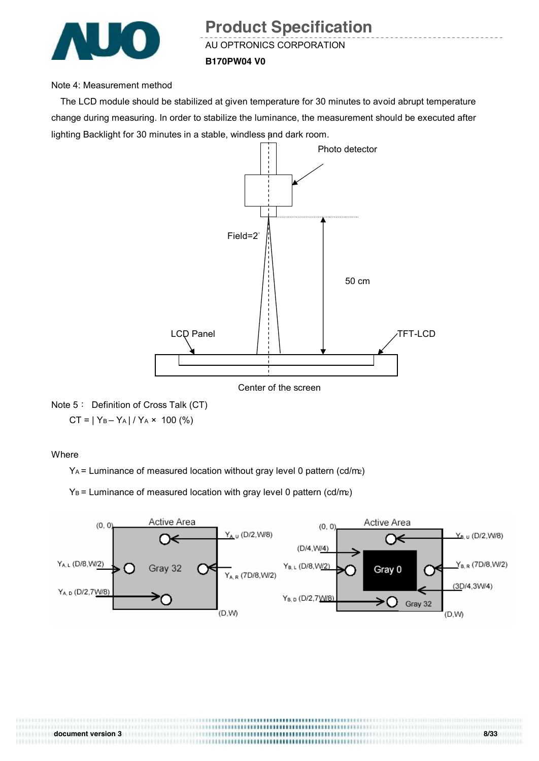

AU OPTRONICS CORPORATION

#### **B170PW04 V0**

#### Note 4: Measurement method

The LCD module should be stabilized at given temperature for 30 minutes to avoid abrupt temperature change during measuring. In order to stabilize the luminance, the measurement should be executed after lighting Backlight for 30 minutes in a stable, windless and dark room.





#### Where

YA = Luminance of measured location without gray level 0 pattern (cd/m2)

 $Y_B$  = Luminance of measured location with gray level 0 pattern (cd/m2)



TTI II ETTI HIII ((1111)) (1111) (111) (111) (111) (111) (111) (11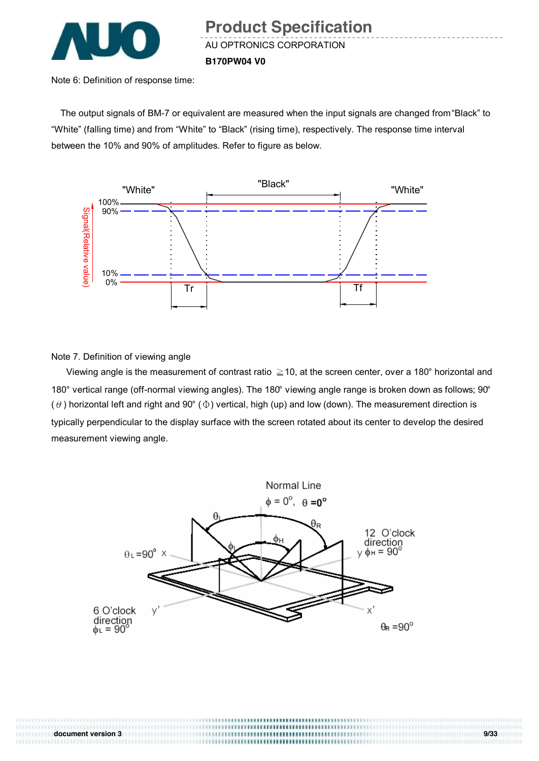

Note 6: Definition of response time:

The output signals of BM-7 or equivalent are measured when the input signals are changed from "Black" to "White" (falling time) and from "White" to "Black" (rising time), respectively. The response time interval between the 10% and 90% of amplitudes. Refer to figure as below.



Note 7. Definition of viewing angle

111111111111

Viewing angle is the measurement of contrast ratio  $\geq$  10, at the screen center, over a 180° horizontal and 180° vertical range (off-normal viewing angles). The 180° viewing angle range is broken down as follows; 90° ( $\theta$ ) horizontal left and right and 90° ( $\Phi$ ) vertical, high (up) and low (down). The measurement direction is typically perpendicular to the display surface with the screen rotated about its center to develop the desired measurement viewing angle.



**document version 3 9/33**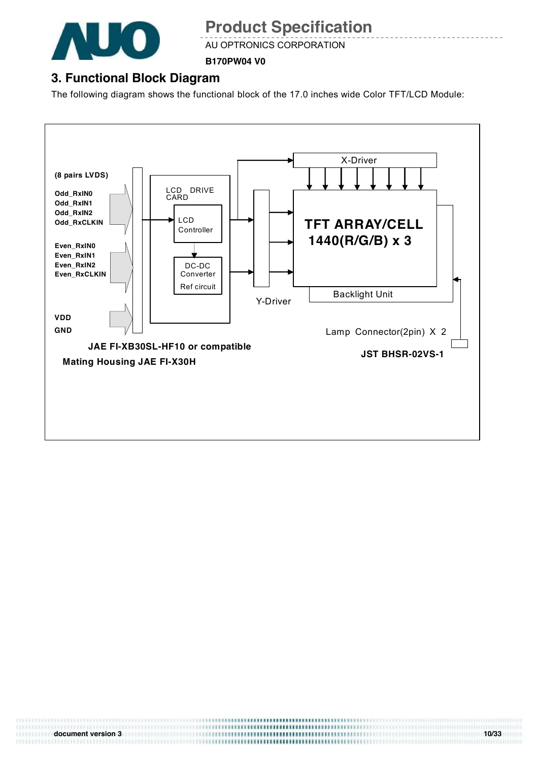

AU OPTRONICS CORPORATION

**B170PW04 V0**

### **3. Functional Block Diagram**

The following diagram shows the functional block of the 17.0 inches wide Color TFT/LCD Module:

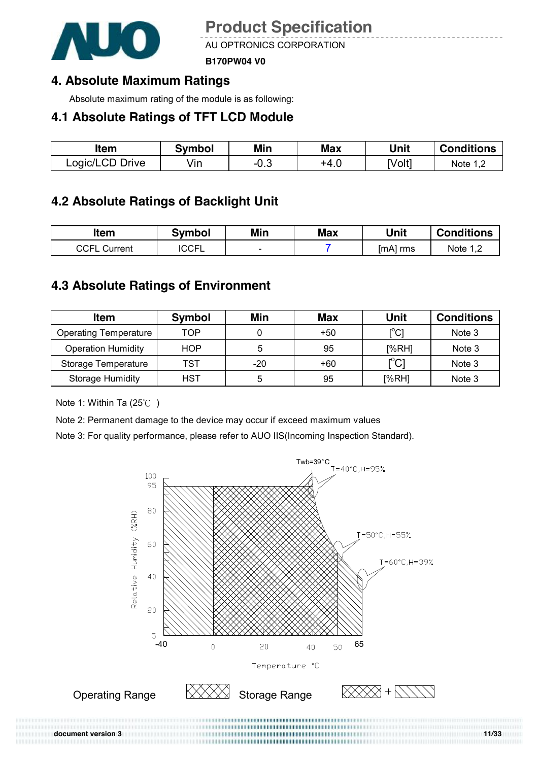

AU OPTRONICS CORPORATION

**B170PW04 V0**

### **4. Absolute Maximum Ratings**

Absolute maximum rating of the module is as following:

### **4.1 Absolute Ratings of TFT LCD Module**

| ltem            | Svmbol | Min    | <b>Max</b> | Unit   | <b>Conditions</b> |
|-----------------|--------|--------|------------|--------|-------------------|
| Logic/LCD Drive | √in    | $-0.3$ | +4.∪       | [Volt] | Note 1,2          |

### **4.2 Absolute Ratings of Backlight Unit**

| Item            | <b>Symbol</b> | Min    | <b>Max</b> | Unit     | <b>Conditions</b>           |
|-----------------|---------------|--------|------------|----------|-----------------------------|
| CCFL<br>Current | <b>'CCFL</b>  | $\sim$ |            | [mA] rms | Note 1 <sup>r</sup><br>ے, ا |

### **4.3 Absolute Ratings of Environment**

| <b>Item</b>                  | <b>Symbol</b> | Min | <b>Max</b> | <b>Unit</b>                              | <b>Conditions</b> |
|------------------------------|---------------|-----|------------|------------------------------------------|-------------------|
| <b>Operating Temperature</b> | TOP           |     | $+50$      | $\mathop{\rm l\mskip-4mu\rm c}\nolimits$ | Note 3            |
| <b>Operation Humidity</b>    | HOP           | 5   | 95         | [%RH]                                    | Note 3            |
| Storage Temperature          | TST           | -20 | +60        | וי∩ <sup>ס</sup> ז<br>◡                  | Note 3            |
| <b>Storage Humidity</b>      | HST           | 5   | 95         | [%RH]                                    | Note 3            |

Note 1: Within Ta (25℃ )

Note 2: Permanent damage to the device may occur if exceed maximum values

Note 3: For quality performance, please refer to AUO IIS(Incoming Inspection Standard).

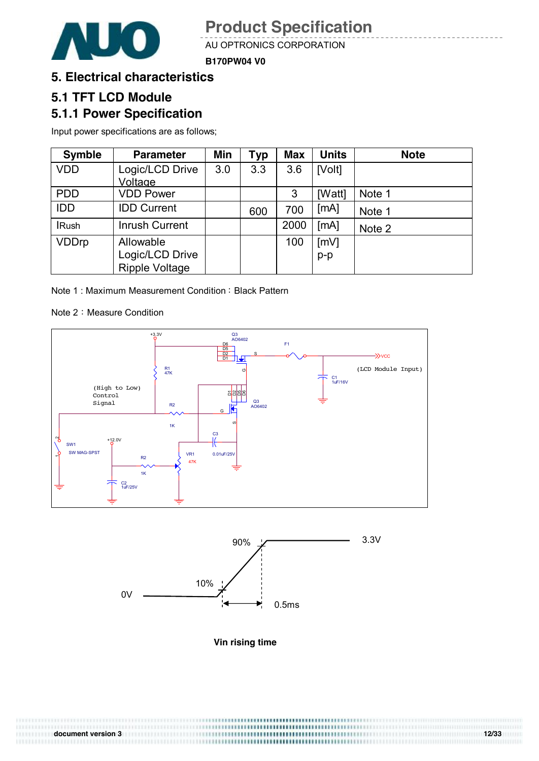

AU OPTRONICS CORPORATION

**B170PW04 V0**

#### **5. Electrical characteristics**

### **5.1 TFT LCD Module**

### **5.1.1 Power Specification**

Input power specifications are as follows;

| <b>Symble</b> | <b>Parameter</b>      | Min | <b>Typ</b> | <b>Max</b> | <b>Units</b> | <b>Note</b> |
|---------------|-----------------------|-----|------------|------------|--------------|-------------|
| <b>VDD</b>    | Logic/LCD Drive       | 3.0 | 3.3        | 3.6        | [Volt]       |             |
|               | Voltage               |     |            |            |              |             |
| <b>PDD</b>    | <b>VDD Power</b>      |     |            | 3          | [Watt]       | Note 1      |
| <b>IDD</b>    | <b>IDD Current</b>    |     | 600        | 700        | [mA]         | Note 1      |
| <b>IRush</b>  | <b>Inrush Current</b> |     |            | 2000       | [mA]         | Note 2      |
| <b>VDDrp</b>  | Allowable             |     |            | 100        | [mV]         |             |
|               | Logic/LCD Drive       |     |            |            | $p-p$        |             |
|               | <b>Ripple Voltage</b> |     |            |            |              |             |

Note 1: Maximum Measurement Condition: Black Pattern

Note 2: Measure Condition





**Vin rising time** 

**document version 3 12/33**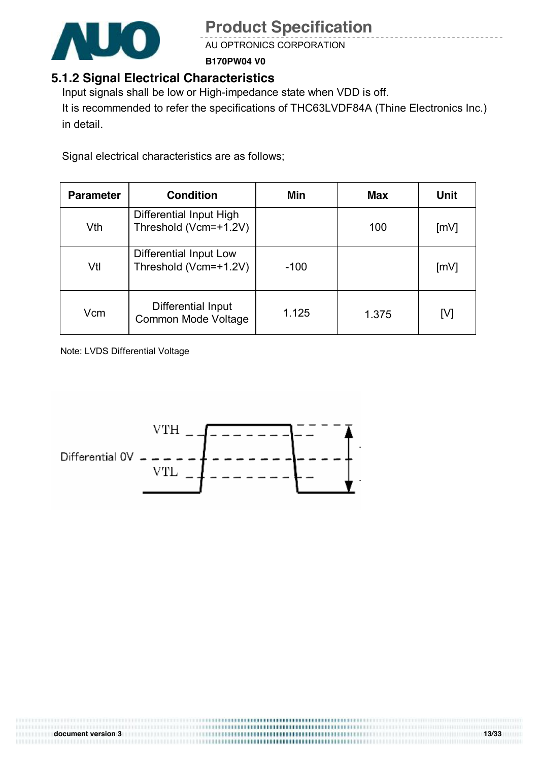

AU OPTRONICS CORPORATION

**B170PW04 V0**

### **5.1.2 Signal Electrical Characteristics**

Input signals shall be low or High-impedance state when VDD is off. It is recommended to refer the specifications of THC63LVDF84A (Thine Electronics Inc.) in detail.

Signal electrical characteristics are as follows;

| <b>Parameter</b> | <b>Condition</b>                                 | Min    | <b>Max</b> | <b>Unit</b> |
|------------------|--------------------------------------------------|--------|------------|-------------|
| Vth              | Differential Input High<br>Threshold (Vcm=+1.2V) |        | 100        | [mV]        |
| Vtl              | Differential Input Low<br>Threshold (Vcm=+1.2V)  | $-100$ |            | [mV]        |
| Vcm              | Differential Input<br>Common Mode Voltage        | 1.125  | 1.375      | [V]         |

Note: LVDS Differential Voltage

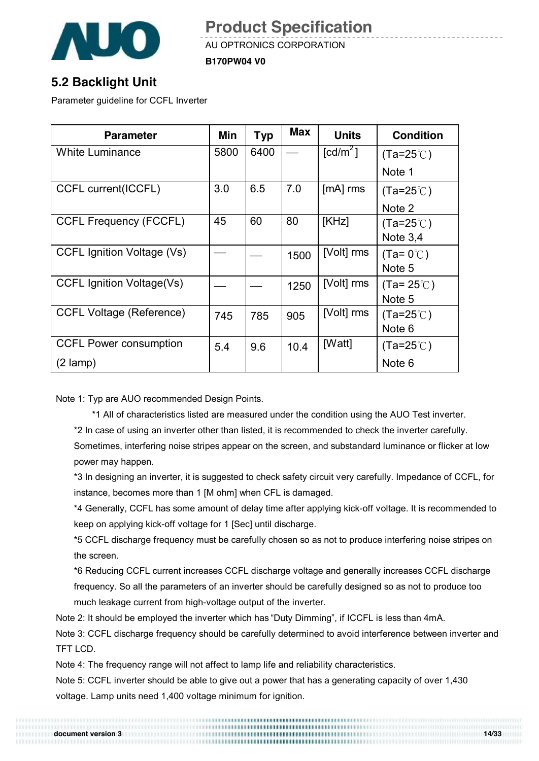

AU OPTRONICS CORPORATION

**B170PW04 V0**

### **5.2 Backlight Unit**

Parameter guideline for CCFL Inverter

| <b>Parameter</b>                  | Min  | <b>Typ</b> | <b>Max</b> | <b>Units</b>           | <b>Condition</b>   |
|-----------------------------------|------|------------|------------|------------------------|--------------------|
| <b>White Luminance</b>            | 5800 | 6400       |            | $\lceil cd/m^2 \rceil$ | $(Ta=25^{\circ}C)$ |
|                                   |      |            |            |                        | Note 1             |
| <b>CCFL current(ICCFL)</b>        | 3.0  | 6.5        | 7.0        | [mA] rms               | $(Ta=25^{\circ}C)$ |
|                                   |      |            |            |                        | Note 2             |
| <b>CCFL Frequency (FCCFL)</b>     | 45   | 60         | 80         | [KHz]                  | $(Ta=25^{\circ}C)$ |
|                                   |      |            |            |                        | Note $3,4$         |
| <b>CCFL Ignition Voltage (Vs)</b> |      |            | 1500       | [Volt] rms             | $(Ta=0^{\circ}C)$  |
|                                   |      |            |            |                        | Note 5             |
| <b>CCFL Ignition Voltage(Vs)</b>  |      |            | 1250       | [Volt] rms             | $(Ta=25^{\circ}C)$ |
|                                   |      |            |            |                        | Note 5             |
| <b>CCFL Voltage (Reference)</b>   | 745  | 785        | 905        | [Volt] rms             | $(Ta=25^{\circ}C)$ |
|                                   |      |            |            |                        | Note 6             |
| <b>CCFL Power consumption</b>     | 5.4  | 9.6        | 10.4       | [Watt]                 | $(Ta=25^{\circ}C)$ |
| $(2 \text{ lamp})$                |      |            |            |                        | Note 6             |

Note 1: Typ are AUO recommended Design Points.

\*1 All of characteristics listed are measured under the condition using the AUO Test inverter.

\*2 In case of using an inverter other than listed, it is recommended to check the inverter carefully.

Sometimes, interfering noise stripes appear on the screen, and substandard luminance or flicker at low power may happen.

\*3 In designing an inverter, it is suggested to check safety circuit very carefully. Impedance of CCFL, for instance, becomes more than 1 [M ohm] when CFL is damaged.

\*4 Generally, CCFL has some amount of delay time after applying kick-off voltage. It is recommended to keep on applying kick-off voltage for 1 [Sec] until discharge.

\*5 CCFL discharge frequency must be carefully chosen so as not to produce interfering noise stripes on the screen.

\*6 Reducing CCFL current increases CCFL discharge voltage and generally increases CCFL discharge frequency. So all the parameters of an inverter should be carefully designed so as not to produce too much leakage current from high-voltage output of the inverter.

Note 2: It should be employed the inverter which has "Duty Dimming", if ICCFL is less than 4mA.

Note 3: CCFL discharge frequency should be carefully determined to avoid interference between inverter and TFT LCD.

Note 4: The frequency range will not affect to lamp life and reliability characteristics.

Note 5: CCFL inverter should be able to give out a power that has a generating capacity of over 1,430 voltage. Lamp units need 1,400 voltage minimum for ignition.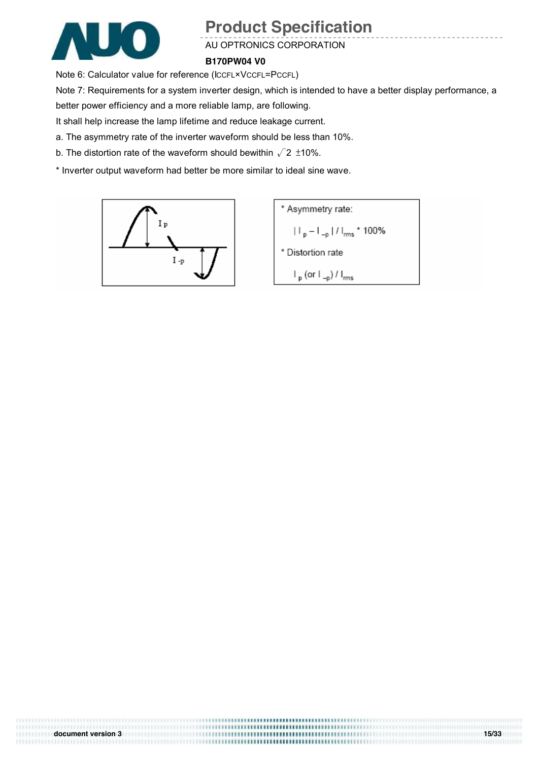

#### AU OPTRONICS CORPORATION

**B170PW04 V0**

Note 6: Calculator value for reference (ICCFL×VCCFL=PCCFL)

Note 7: Requirements for a system inverter design, which is intended to have a better display performance, a

better power efficiency and a more reliable lamp, are following.

It shall help increase the lamp lifetime and reduce leakage current.

a. The asymmetry rate of the inverter waveform should be less than 10%.

b. The distortion rate of the waveform should bewithin  $\sqrt{2}$  ±10%.

\* Inverter output waveform had better be more similar to ideal sine wave.



\* Asymmetry rate:  $|||_{p} - ||_{-p}||/||_{rms} * 100\%$ \* Distortion rate  $\mathsf{I}_{\mathsf{p}}$  (or  $\mathsf{I}_{\mathsf{-p}}$ ) /  $\mathsf{I}_{\mathsf{rms}}$ 

**document version 3 15/33**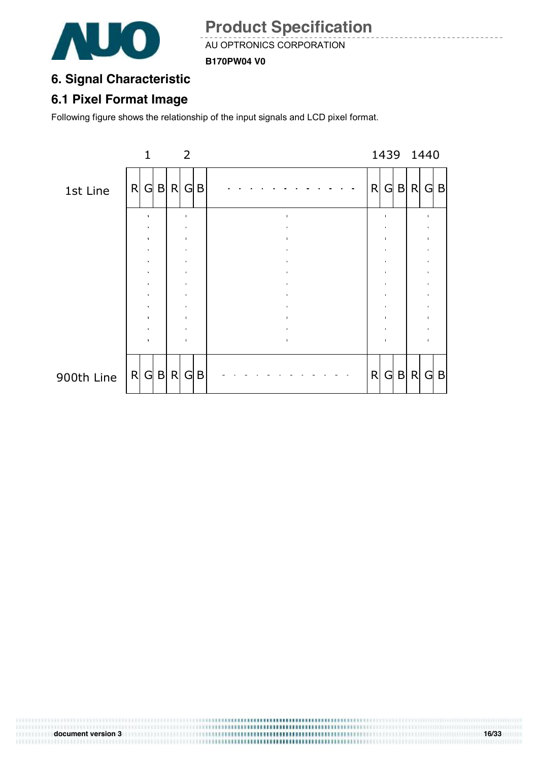

AU OPTRONICS CORPORATION

**B170PW04 V0**

### **6. Signal Characteristic**

### **6.1 Pixel Format Image**

Following figure shows the relationship of the input signals and LCD pixel format.

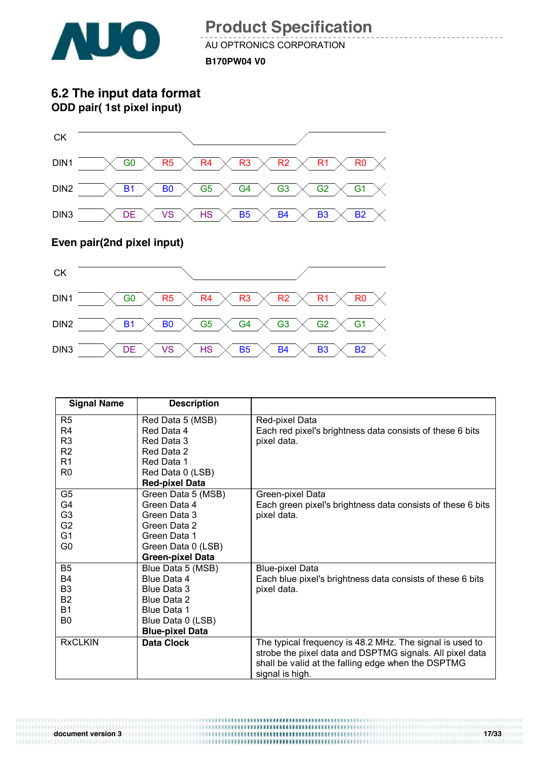

AU OPTRONICS CORPORATION **B170PW04 V0**

**6.2 The input data format ODD pair( 1st pixel input)**



#### **Even pair(2nd pixel input)**



| <b>Signal Name</b> | <b>Description</b>      |                                                             |
|--------------------|-------------------------|-------------------------------------------------------------|
| R <sub>5</sub>     | Red Data 5 (MSB)        | Red-pixel Data                                              |
| R <sub>4</sub>     | Red Data 4              | Each red pixel's brightness data consists of these 6 bits   |
| R <sub>3</sub>     | Red Data 3              | pixel data.                                                 |
| R <sub>2</sub>     | Red Data 2              |                                                             |
| R <sub>1</sub>     | Red Data 1              |                                                             |
| R <sub>0</sub>     | Red Data 0 (LSB)        |                                                             |
|                    | <b>Red-pixel Data</b>   |                                                             |
| G <sub>5</sub>     | Green Data 5 (MSB)      | Green-pixel Data                                            |
| G4                 | Green Data 4            | Each green pixel's brightness data consists of these 6 bits |
| G <sub>3</sub>     | Green Data 3            | pixel data.                                                 |
| G <sub>2</sub>     | Green Data 2            |                                                             |
| G <sub>1</sub>     | Green Data 1            |                                                             |
| G0                 | Green Data 0 (LSB)      |                                                             |
|                    | <b>Green-pixel Data</b> |                                                             |
| B <sub>5</sub>     | Blue Data 5 (MSB)       | <b>Blue-pixel Data</b>                                      |
| <b>B4</b>          | Blue Data 4             | Each blue pixel's brightness data consists of these 6 bits  |
| B <sub>3</sub>     | Blue Data 3             | pixel data.                                                 |
| <b>B2</b>          | Blue Data 2             |                                                             |
| <b>B1</b>          | Blue Data 1             |                                                             |
| B0                 | Blue Data 0 (LSB)       |                                                             |
|                    | <b>Blue-pixel Data</b>  |                                                             |
| <b>RxCLKIN</b>     | <b>Data Clock</b>       | The typical frequency is 48.2 MHz. The signal is used to    |
|                    |                         | strobe the pixel data and DSPTMG signals. All pixel data    |
|                    |                         | shall be valid at the falling edge when the DSPTMG          |
|                    |                         | signal is high.                                             |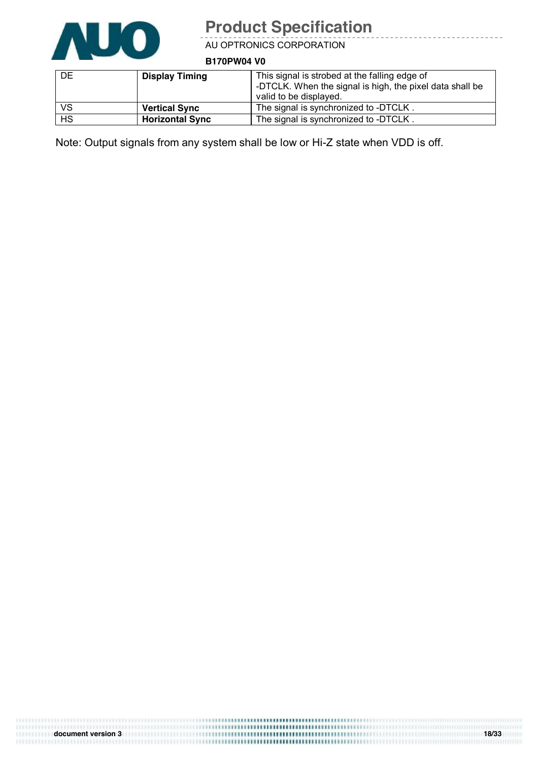

<u>. . . . . . . . .</u>

AU OPTRONICS CORPORATION

**B170PW04 V0**

| <b>DE</b> | <b>Display Timing</b>  | This signal is strobed at the falling edge of<br>-DTCLK. When the signal is high, the pixel data shall be<br>valid to be displayed. |
|-----------|------------------------|-------------------------------------------------------------------------------------------------------------------------------------|
| VS        | <b>Vertical Sync</b>   | The signal is synchronized to -DTCLK.                                                                                               |
| <b>HS</b> | <b>Horizontal Sync</b> | The signal is synchronized to -DTCLK.                                                                                               |

Note: Output signals from any system shall be low or Hi-Z state when VDD is off.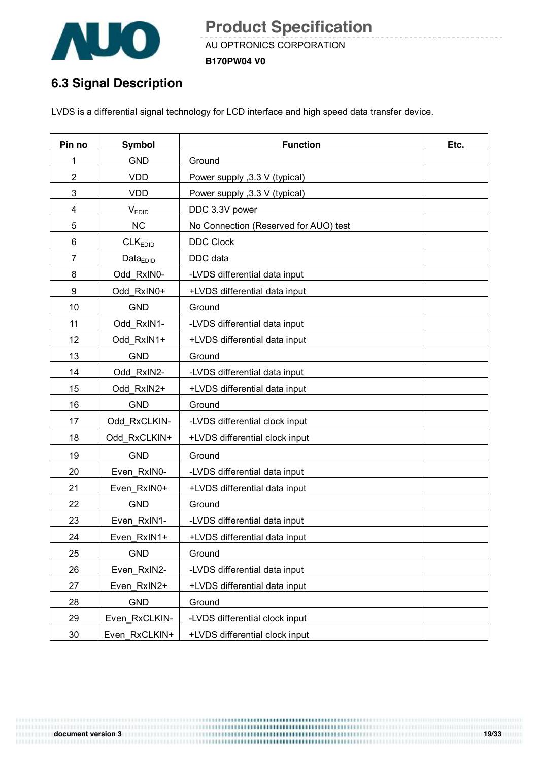

AU OPTRONICS CORPORATION **B170PW04 V0**

### **6.3 Signal Description**

LVDS is a differential signal technology for LCD interface and high speed data transfer device.

| Pin no         | <b>Symbol</b>       | <b>Function</b>                       | Etc. |
|----------------|---------------------|---------------------------------------|------|
| 1              | <b>GND</b>          | Ground                                |      |
| $\overline{2}$ | <b>VDD</b>          | Power supply , 3.3 V (typical)        |      |
| 3              | <b>VDD</b>          | Power supply , 3.3 V (typical)        |      |
| 4              | <b>VEDID</b>        | DDC 3.3V power                        |      |
| 5              | <b>NC</b>           | No Connection (Reserved for AUO) test |      |
| 6              | CLK <sub>EDID</sub> | <b>DDC Clock</b>                      |      |
| $\overline{7}$ | $Data_{EDID}$       | DDC data                              |      |
| 8              | Odd RxIN0-          | -LVDS differential data input         |      |
| 9              | Odd RxIN0+          | +LVDS differential data input         |      |
| 10             | <b>GND</b>          | Ground                                |      |
| 11             | Odd RxIN1-          | -LVDS differential data input         |      |
| 12             | Odd RxIN1+          | +LVDS differential data input         |      |
| 13             | <b>GND</b>          | Ground                                |      |
| 14             | Odd RxIN2-          | -LVDS differential data input         |      |
| 15             | Odd RxIN2+          | +LVDS differential data input         |      |
| 16             | <b>GND</b>          | Ground                                |      |
| 17             | Odd RxCLKIN-        | -LVDS differential clock input        |      |
| 18             | Odd_RxCLKIN+        | +LVDS differential clock input        |      |
| 19             | <b>GND</b>          | Ground                                |      |
| 20             | Even RxIN0-         | -LVDS differential data input         |      |
| 21             | Even RxIN0+         | +LVDS differential data input         |      |
| 22             | <b>GND</b>          | Ground                                |      |
| 23             | Even RxIN1-         | -LVDS differential data input         |      |
| 24             | Even RxIN1+         | +LVDS differential data input         |      |
| 25             | <b>GND</b>          | Ground                                |      |
| 26             | Even RxIN2-         | -LVDS differential data input         |      |
| 27             | Even RxIN2+         | +LVDS differential data input         |      |
| 28             | <b>GND</b>          | Ground                                |      |
| 29             | Even_RxCLKIN-       | -LVDS differential clock input        |      |
| $30\,$         | Even_RxCLKIN+       | +LVDS differential clock input        |      |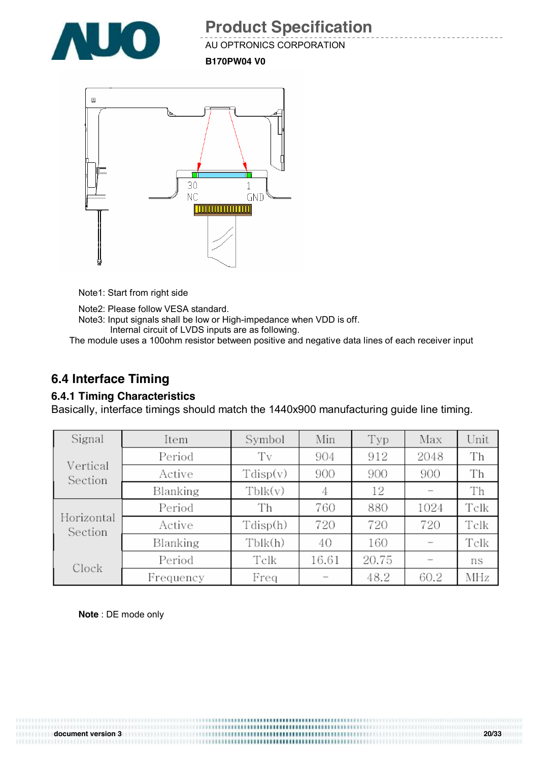

AU OPTRONICS CORPORATION

**B170PW04 V0**



Note1: Start from right side

Note2: Please follow VESA standard. Note3: Input signals shall be low or High-impedance when VDD is off. Internal circuit of LVDS inputs are as following.

The module uses a 100ohm resistor between positive and negative data lines of each receiver input

### **6.4 Interface Timing**

#### **6.4.1 Timing Characteristics**

Basically, interface timings should match the 1440x900 manufacturing guide line timing.

| Signal                | Item      | Symbol            | Min   | Typ   | Max  | Unit |
|-----------------------|-----------|-------------------|-------|-------|------|------|
|                       | Period    | Tv                | 904   | 912   | 2048 | Th   |
| Vertical<br>Section   | Active    | $T\text{disp}(v)$ | 900   | 900   | 900  | Th   |
|                       | Blanking  | Tblk(v)           | 4     | 12    |      | Th   |
|                       | Period    | Th                | 760   | 880   | 1024 | Telk |
| Horizontal<br>Section | Active    | Tdisp(h)          | 720   | 720   | 720  | Telk |
|                       | Blanking  | Tblk(h)           | 40    | 160   |      | Telk |
| Clock                 | Period    | Telk              | 16.61 | 20.75 |      | ns   |
|                       | Frequency | Freq              |       | 48.2  | 60.2 | MHz  |

**Note** : DE mode only

**document version 3 20/33**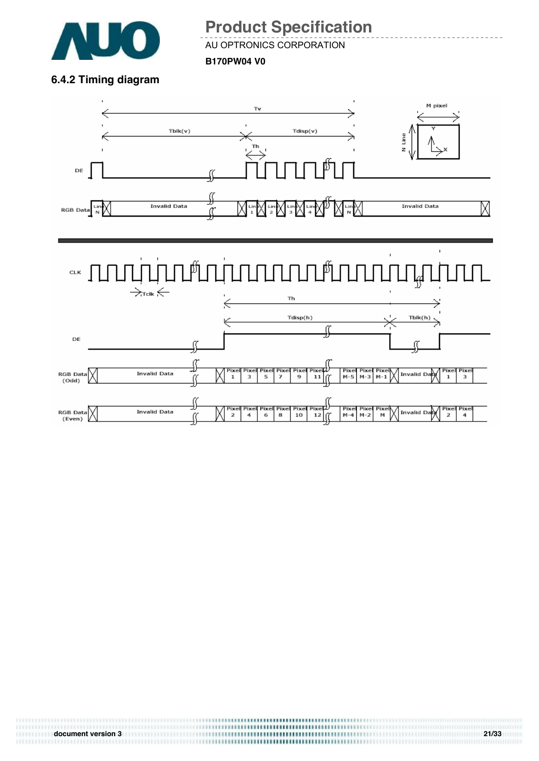

AU OPTRONICS CORPORATION

**B170PW04 V0**

**6.4.2 Timing diagram** 

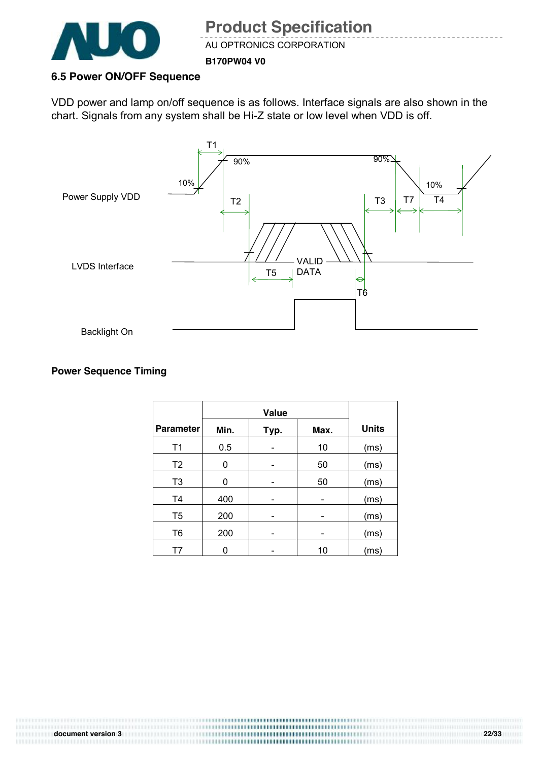

AU OPTRONICS CORPORATION

**B170PW04 V0**

#### **6.5 Power ON/OFF Sequence**

VDD power and lamp on/off sequence is as follows. Interface signals are also shown in the chart. Signals from any system shall be Hi-Z state or low level when VDD is off.



#### **Power Sequence Timing**

|                  | <b>Value</b> |      |      |              |
|------------------|--------------|------|------|--------------|
| <b>Parameter</b> | Min.         | Typ. | Max. | <b>Units</b> |
| T1               | 0.5          |      | 10   | (ms)         |
| T <sub>2</sub>   | 0            |      | 50   | (ms)         |
| T <sub>3</sub>   | 0            |      | 50   | (ms)         |
| T <sub>4</sub>   | 400          |      |      | (ms)         |
| T <sub>5</sub>   | 200          |      |      | (ms)         |
| T <sub>6</sub>   | 200          | -    |      | (ms)         |
| Т7               |              |      | 10   | (ms)         |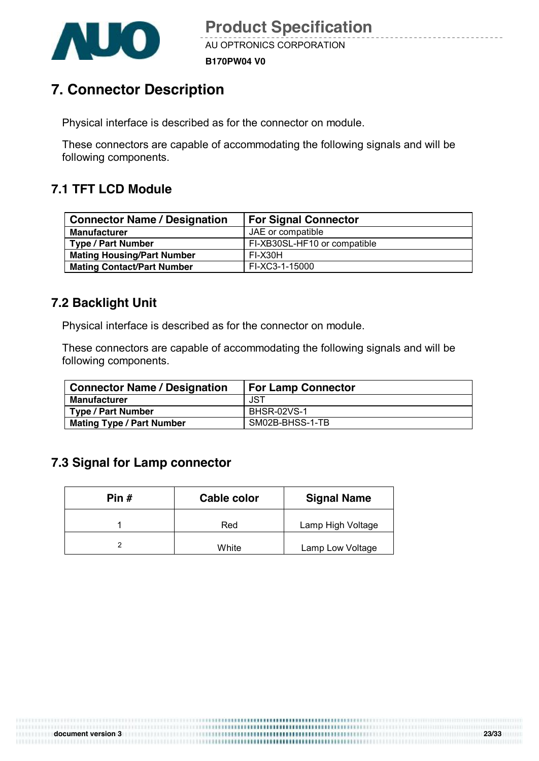

**B170PW04 V0**

### **7. Connector Description**

Physical interface is described as for the connector on module.

These connectors are capable of accommodating the following signals and will be following components.

### **7.1 TFT LCD Module**

| <b>Connector Name / Designation</b> | <b>For Signal Connector</b>  |
|-------------------------------------|------------------------------|
| <b>Manufacturer</b>                 | JAE or compatible            |
| <b>Type / Part Number</b>           | FI-XB30SL-HF10 or compatible |
| <b>Mating Housing/Part Number</b>   | FI-X30H                      |
| <b>Mating Contact/Part Number</b>   | FI-XC3-1-15000               |

#### **7.2 Backlight Unit**

Physical interface is described as for the connector on module.

These connectors are capable of accommodating the following signals and will be following components.

| <b>Connector Name / Designation</b> | <b>For Lamp Connector</b> |
|-------------------------------------|---------------------------|
| <b>Manufacturer</b>                 | JST                       |
| <b>Type / Part Number</b>           | <b>BHSR-02VS-1</b>        |
| <b>Mating Type / Part Number</b>    | SM02B-BHSS-1-TB           |

### **7.3 Signal for Lamp connector**

| Pin # | Cable color | <b>Signal Name</b> |
|-------|-------------|--------------------|
|       | Red         | Lamp High Voltage  |
|       | White       | Lamp Low Voltage   |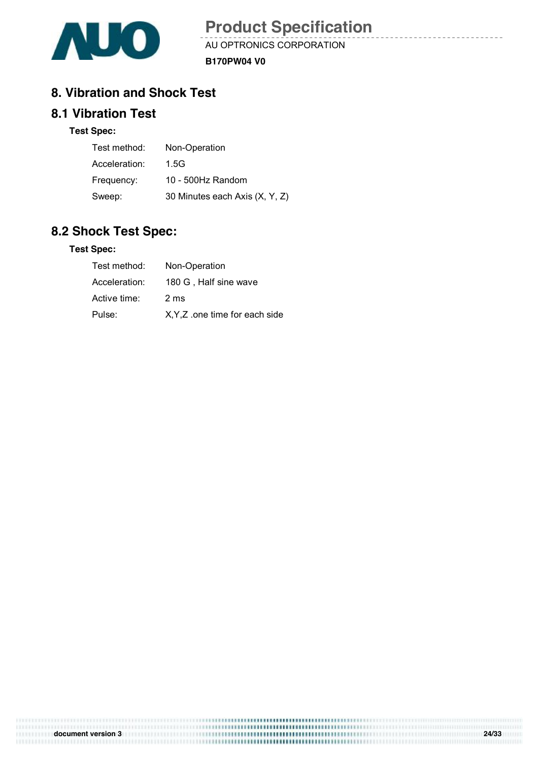

AU OPTRONICS CORPORATION **B170PW04 V0**

### **8. Vibration and Shock Test**

#### **8.1 Vibration Test**

#### **Test Spec:**

| Test method:  | Non-Operation                  |
|---------------|--------------------------------|
| Acceleration: | 1.5G                           |
| Frequency:    | 10 - 500Hz Random              |
| Sweep:        | 30 Minutes each Axis (X, Y, Z) |

#### **8.2 Shock Test Spec:**

#### **Test Spec:**

| Test method:  | Non-Operation                  |
|---------------|--------------------------------|
| Acceleration: | 180 G, Half sine wave          |
| Active time:  | 2 ms                           |
| Pulse:        | X, Y, Z one time for each side |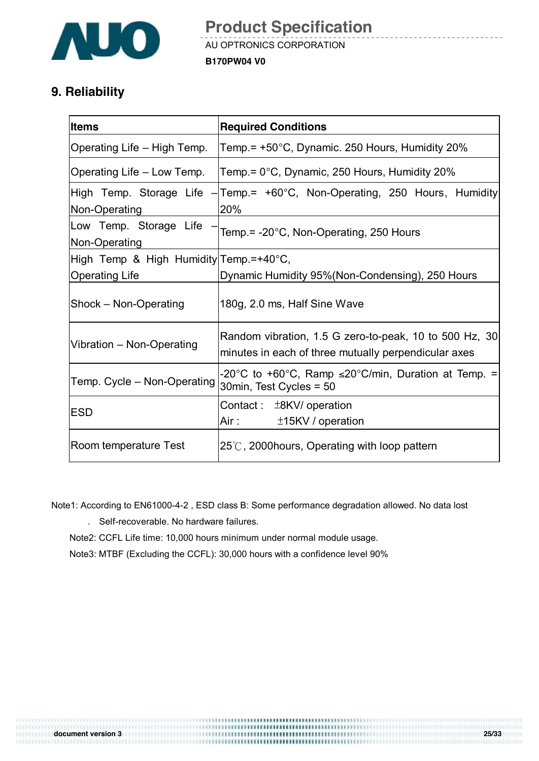

### **9. Reliability**

| <b>Items</b>                             | <b>Required Conditions</b>                                                                                                                                                                                                                                                           |
|------------------------------------------|--------------------------------------------------------------------------------------------------------------------------------------------------------------------------------------------------------------------------------------------------------------------------------------|
| Operating Life – High Temp.              | Temp.= +50°C, Dynamic. 250 Hours, Humidity 20%                                                                                                                                                                                                                                       |
| Operating Life – Low Temp.               | Temp.= 0°C, Dynamic, 250 Hours, Humidity 20%                                                                                                                                                                                                                                         |
| High Temp. Storage Life<br>Non-Operating | $-$ Temp = +60 $^{\circ}$ C, Non-Operating, 250 Hours, Humidity<br>20%                                                                                                                                                                                                               |
| Low Temp. Storage Life<br>Non-Operating  | Temp.= -20°C, Non-Operating, 250 Hours                                                                                                                                                                                                                                               |
| High Temp & High Humidity Temp.=+40°C,   |                                                                                                                                                                                                                                                                                      |
| <b>Operating Life</b>                    | Dynamic Humidity 95%(Non-Condensing), 250 Hours                                                                                                                                                                                                                                      |
| Shock - Non-Operating                    | 180g, 2.0 ms, Half Sine Wave                                                                                                                                                                                                                                                         |
| Vibration - Non-Operating                | Random vibration, 1.5 G zero-to-peak, 10 to 500 Hz, 30<br>minutes in each of three mutually perpendicular axes                                                                                                                                                                       |
| Temp. Cycle - Non-Operating              | -20°C to +60°C, Ramp $\leq$ 20°C/min, Duration at Temp. =<br>30min, Test Cycles = 50                                                                                                                                                                                                 |
| <b>IESD</b>                              | Contact: $±8KV/$ operation<br>Air : The Marine State State State State State State State State State State State State State State State State State State State State State State State State State State State State State State State State State State S<br>$±15$ KV / operation |
| Room temperature Test                    | $25^{\circ}$ C, 2000 hours, Operating with loop pattern                                                                                                                                                                                                                              |

Note1: According to EN61000-4-2 , ESD class B: Some performance degradation allowed. No data lost

. Self-recoverable. No hardware failures.

Note2: CCFL Life time: 10,000 hours minimum under normal module usage.

Note3: MTBF (Excluding the CCFL): 30,000 hours with a confidence level 90%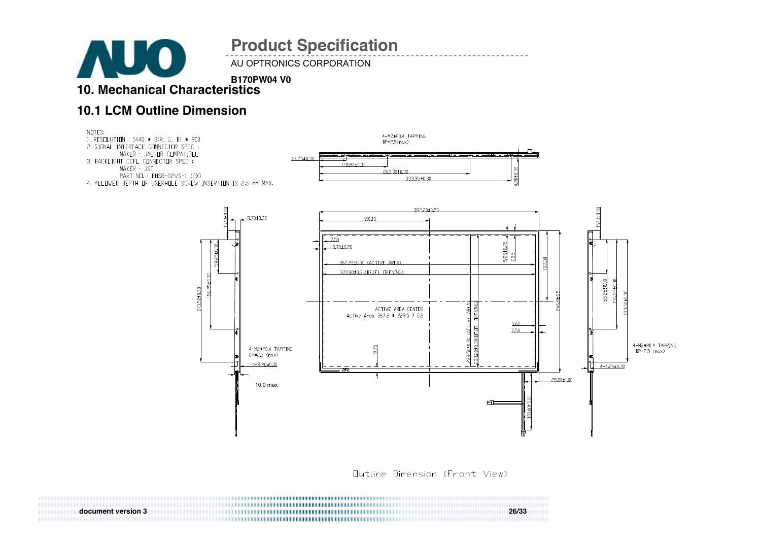AU OPTRONICS CORPORATION

**B170PW04 V0 10. Mechanical Characteristics** 

#### **10.1 LCM Outline Dimension**

**AUO** 



Dutline Dimension (Front View)

| document version 3 |                                     | 26/33 |
|--------------------|-------------------------------------|-------|
|                    | ,,,,,,,,,,,,,,,,,,,,,,,,,,,,,,,,,,, |       |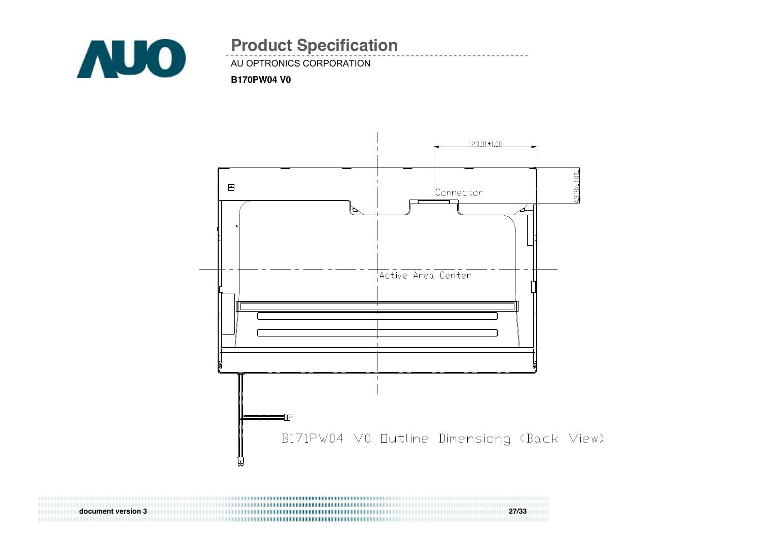

### AU OPTRONICS CORPORATION **Product Specification**

#### **B170PW04 V0**



**document version 3 27/33**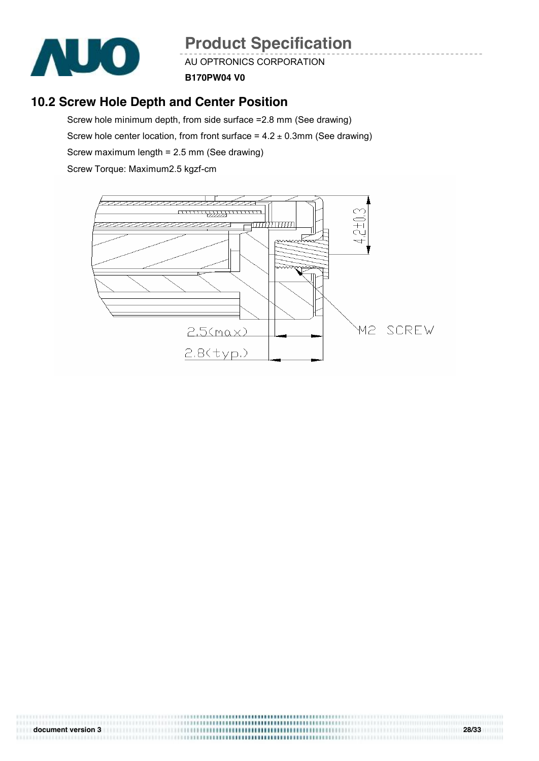

AU OPTRONICS CORPORATION

**B170PW04 V0**

### **10.2 Screw Hole Depth and Center Position**

Screw hole minimum depth, from side surface =2.8 mm (See drawing) Screw hole center location, from front surface =  $4.2 \pm 0.3$ mm (See drawing) Screw maximum length = 2.5 mm (See drawing) Screw Torque: Maximum2.5 kgzf-cm

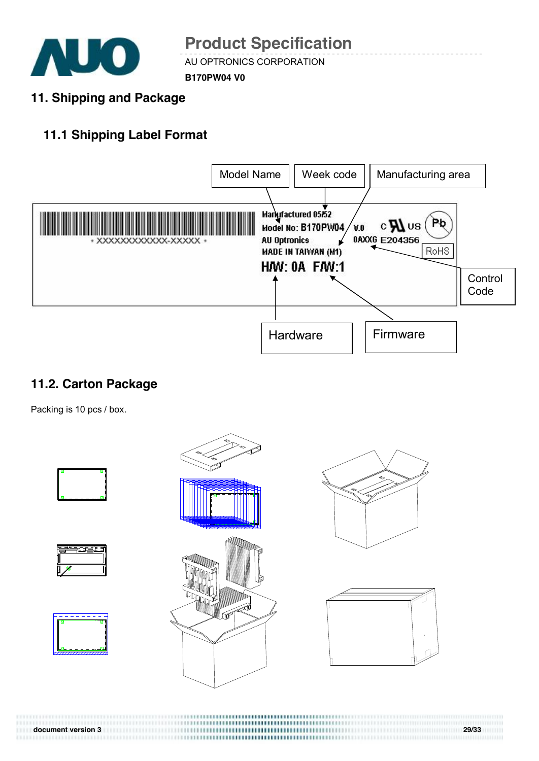

AU OPTRONICS CORPORATION

**B170PW04 V0**

**11. Shipping and Package** 

### **11.1 Shipping Label Format**



### **11.2. Carton Package**

Packing is 10 pcs / box.



**document version 3 29/33**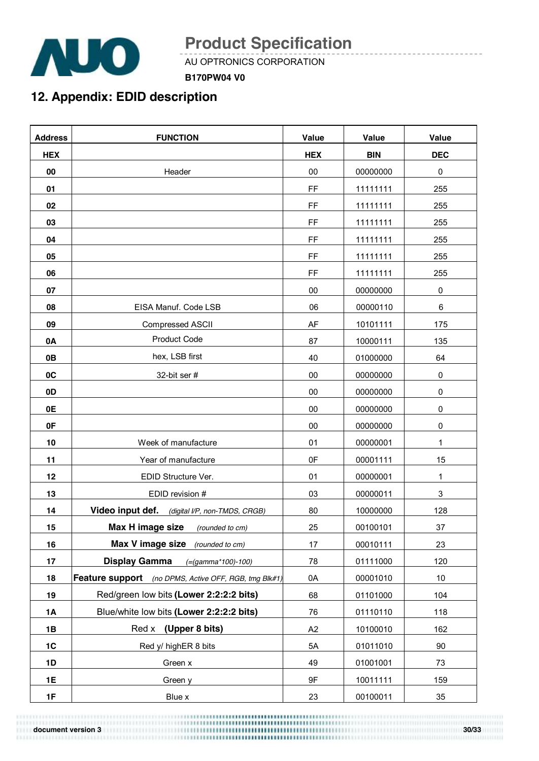

AU OPTRONICS CORPORATION

**B170PW04 V0**

### **12. Appendix: EDID description**

| <b>Address</b> | <b>FUNCTION</b>                                       | <b>Value</b> | Value      | Value        |
|----------------|-------------------------------------------------------|--------------|------------|--------------|
| <b>HEX</b>     |                                                       | <b>HEX</b>   | <b>BIN</b> | <b>DEC</b>   |
| 00             | Header                                                | 00           | 00000000   | 0            |
| 01             |                                                       | FF           | 11111111   | 255          |
| 02             |                                                       | FF           | 11111111   | 255          |
| 03             |                                                       | FF           | 11111111   | 255          |
| 04             |                                                       | FF           | 11111111   | 255          |
| 05             |                                                       | FF           | 11111111   | 255          |
| 06             |                                                       | FF           | 11111111   | 255          |
| 07             |                                                       | 00           | 00000000   | $\pmb{0}$    |
| 08             | EISA Manuf. Code LSB                                  | 06           | 00000110   | 6            |
| 09             | Compressed ASCII                                      | AF           | 10101111   | 175          |
| 0A             | <b>Product Code</b>                                   | 87           | 10000111   | 135          |
| 0B             | hex, LSB first                                        | 40           | 01000000   | 64           |
| 0C             | 32-bit ser #                                          | 00           | 00000000   | $\pmb{0}$    |
| 0D             |                                                       | 00           | 00000000   | 0            |
| 0E             |                                                       | 00           | 00000000   | $\mathsf 0$  |
| 0F             |                                                       | 00           | 00000000   | 0            |
| 10             | Week of manufacture                                   | 01           | 00000001   | $\mathbf{1}$ |
| 11             | Year of manufacture                                   | 0F           | 00001111   | 15           |
| 12             | EDID Structure Ver.                                   | 01           | 00000001   | $\mathbf{1}$ |
| 13             | EDID revision #                                       | 03           | 00000011   | 3            |
| 14             | Video input def.<br>(digital I/P, non-TMDS, CRGB)     | 80           | 10000000   | 128          |
| 15             | Max H image size<br>(rounded to cm)                   | 25           | 00100101   | 37           |
| 16             | Max V image size (rounded to cm)                      | 17           | 00010111   | 23           |
| 17             | <b>Display Gamma</b><br>$(=(gamma*100)-100)$          | 78           | 01111000   | 120          |
| 18             | Feature support (no DPMS, Active OFF, RGB, tmg Blk#1) | 0A           | 00001010   | 10           |
| 19             | Red/green low bits (Lower 2:2:2:2 bits)               | 68           | 01101000   | 104          |
| <b>1A</b>      | Blue/white low bits (Lower 2:2:2:2 bits)              | 76           | 01110110   | 118          |
| 1B             | Red x (Upper 8 bits)                                  | A2           | 10100010   | 162          |
| 1C             | Red y/ highER 8 bits                                  | 5A           | 01011010   | 90           |
| 1D             | Green x                                               | 49           | 01001001   | 73           |
| 1E             | Green y                                               | 9F           | 10011111   | 159          |
| 1F             | Blue x                                                | 23           | 00100011   | 35           |

1111

**document version 3 30/33**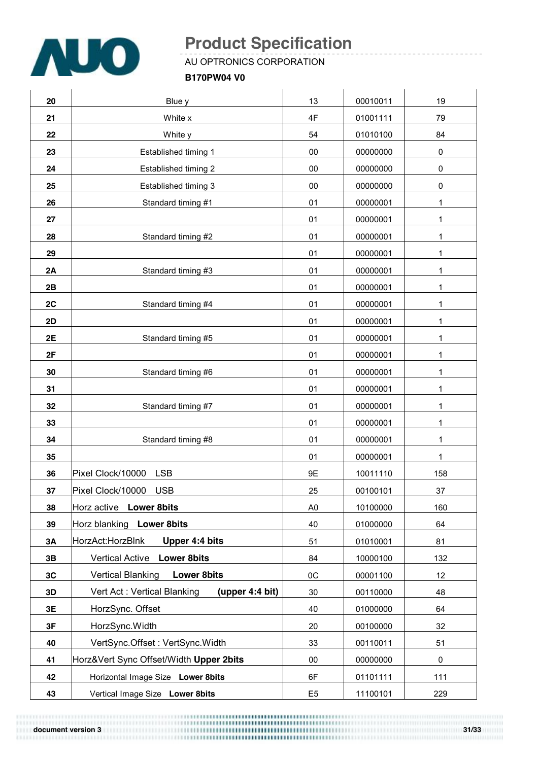

AU OPTRONICS CORPORATION

#### **B170PW04 V0**

| 20 | Blue y                                         | 13             | 00010011 | 19  |
|----|------------------------------------------------|----------------|----------|-----|
| 21 | White x                                        | 4F             | 01001111 | 79  |
| 22 | White y                                        | 54             | 01010100 | 84  |
| 23 | Established timing 1                           | $00\,$         | 00000000 | 0   |
| 24 | Established timing 2                           | 00             | 00000000 | 0   |
| 25 | Established timing 3                           | 00             | 00000000 | 0   |
| 26 | Standard timing #1                             | 01             | 00000001 | 1   |
| 27 |                                                | 01             | 00000001 | 1   |
| 28 | Standard timing #2                             | 01             | 00000001 | 1   |
| 29 |                                                | 01             | 00000001 | 1   |
| 2A | Standard timing #3                             | 01             | 00000001 | 1   |
| 2B |                                                | 01             | 00000001 | 1   |
| 2C | Standard timing #4                             | 01             | 00000001 | 1   |
| 2D |                                                | 01             | 00000001 | 1   |
| 2E | Standard timing #5                             | 01             | 00000001 | 1   |
| 2F |                                                | 01             | 00000001 | 1   |
| 30 | Standard timing #6                             | 01             | 00000001 | 1   |
| 31 |                                                | 01             | 00000001 | 1   |
| 32 | Standard timing #7                             | 01             | 00000001 | 1   |
| 33 |                                                | 01             | 00000001 | 1   |
| 34 | Standard timing #8                             | 01             | 00000001 | 1   |
| 35 |                                                | 01             | 00000001 | 1   |
| 36 | Pixel Clock/10000<br><b>LSB</b>                | 9E             | 10011110 | 158 |
| 37 | Pixel Clock/10000 USB                          | 25             | 00100101 | 37  |
| 38 | Horz active Lower 8bits                        | A <sub>0</sub> | 10100000 | 160 |
| 39 | Horz blanking Lower 8bits                      | 40             | 01000000 | 64  |
| ЗΑ | HorzAct:HorzBlnk<br>Upper 4:4 bits             | 51             | 01010001 | 81  |
| 3B | <b>Vertical Active</b><br><b>Lower 8bits</b>   | 84             | 10000100 | 132 |
| 3C | <b>Vertical Blanking</b><br><b>Lower 8bits</b> | 0C             | 00001100 | 12  |
| 3D | Vert Act: Vertical Blanking<br>(upper 4:4 bit) | 30             | 00110000 | 48  |
| 3E | HorzSync. Offset                               | 40             | 01000000 | 64  |
| 3F | HorzSync.Width                                 | 20             | 00100000 | 32  |
| 40 | VertSync.Offset: VertSync.Width                | 33             | 00110011 | 51  |
| 41 | Horz‖ Sync Offset/Width Upper 2bits            | $00\,$         | 00000000 | 0   |
| 42 | Horizontal Image Size Lower 8bits              | 6F             | 01101111 | 111 |
| 43 | Vertical Image Size Lower 8bits                | E <sub>5</sub> | 11100101 | 229 |

**document version 3 31/33**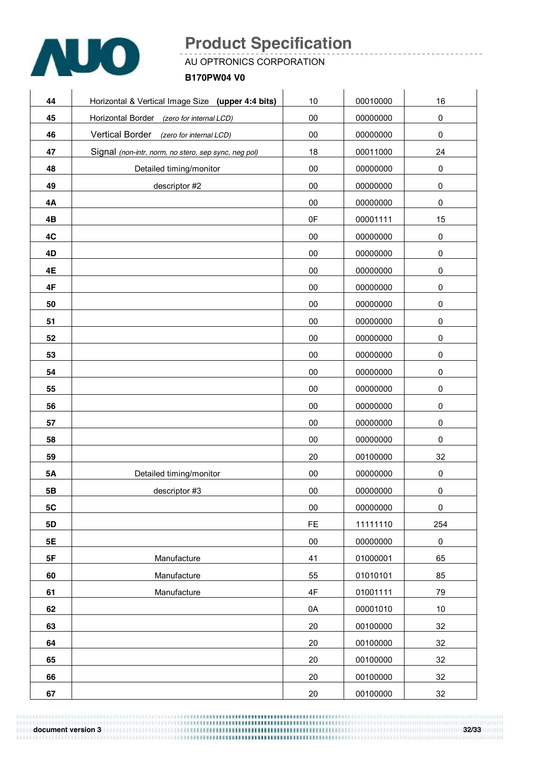

AU OPTRONICS CORPORATION

**B170PW04 V0**

| Horizontal & Vertical Image Size (upper 4:4 bits)    | 10            | 00010000 | 16          |
|------------------------------------------------------|---------------|----------|-------------|
| Horizontal Border (zero for internal LCD)            | $00\,$        | 00000000 | $\pmb{0}$   |
| Vertical Border (zero for internal LCD)              | 00            | 00000000 | $\pmb{0}$   |
| Signal (non-intr, norm, no stero, sep sync, neg pol) | 18            | 00011000 | 24          |
| Detailed timing/monitor                              | $00\,$        | 00000000 | $\pmb{0}$   |
| descriptor #2                                        | $00\,$        | 00000000 | $\pmb{0}$   |
|                                                      | $00\,$        | 00000000 | $\mathbf 0$ |
|                                                      | 0F            | 00001111 | 15          |
|                                                      | $00\,$        | 00000000 | $\pmb{0}$   |
|                                                      | $00\,$        | 00000000 | $\pmb{0}$   |
|                                                      | $00\,$        | 00000000 | $\pmb{0}$   |
|                                                      | $00\,$        | 00000000 | $\pmb{0}$   |
|                                                      | $00\,$        | 00000000 | $\pmb{0}$   |
|                                                      | $00\,$        | 00000000 | $\pmb{0}$   |
|                                                      | 00            | 00000000 | $\pmb{0}$   |
|                                                      | $00\,$        | 00000000 | $\pmb{0}$   |
|                                                      | $00\,$        | 00000000 | $\pmb{0}$   |
|                                                      | $00\,$        | 00000000 | $\pmb{0}$   |
|                                                      | $00\,$        | 00000000 | $\pmb{0}$   |
|                                                      | $00\,$        | 00000000 | $\pmb{0}$   |
|                                                      | $00\,$        | 00000000 | $\mathbf 0$ |
|                                                      | 20            | 00100000 | 32          |
| Detailed timing/monitor                              | $00\,$        | 00000000 | $\mathsf 0$ |
| descriptor #3                                        | $00\,$        | 00000000 | $\pmb{0}$   |
|                                                      | $00\,$        | 00000000 | $\pmb{0}$   |
|                                                      | $\mathsf{FE}$ | 11111110 | 254         |
|                                                      | 00            | 00000000 | $\pmb{0}$   |
| Manufacture                                          | 41            | 01000001 | 65          |
| Manufacture                                          | 55            | 01010101 | 85          |
| Manufacture                                          | 4F            | 01001111 | 79          |
|                                                      | 0A            | 00001010 | $10\,$      |
|                                                      | 20            | 00100000 | 32          |
|                                                      | 20            | 00100000 | 32          |
|                                                      | 20            | 00100000 | 32          |
|                                                      | 20            | 00100000 | 32          |
|                                                      | 20            | 00100000 | 32          |
|                                                      |               |          |             |

**document version 3 32/33**